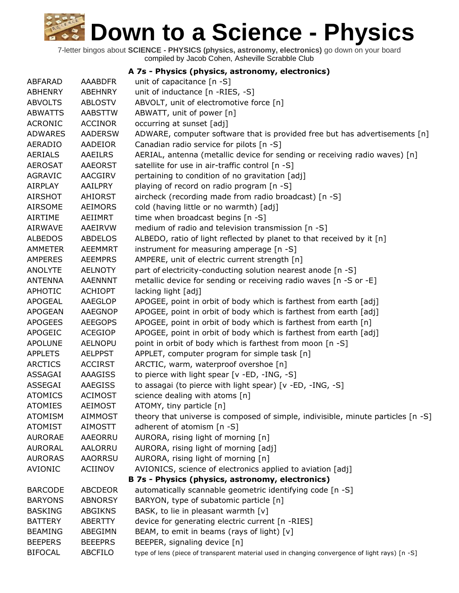|                |                | A 7s - Physics (physics, astronomy, electronics)                                               |
|----------------|----------------|------------------------------------------------------------------------------------------------|
| ABFARAD        | <b>AAABDFR</b> | unit of capacitance [n -S]                                                                     |
| <b>ABHENRY</b> | <b>ABEHNRY</b> | unit of inductance [n -RIES, -S]                                                               |
| <b>ABVOLTS</b> | <b>ABLOSTV</b> | ABVOLT, unit of electromotive force [n]                                                        |
| <b>ABWATTS</b> | <b>AABSTTW</b> | ABWATT, unit of power [n]                                                                      |
| <b>ACRONIC</b> | <b>ACCINOR</b> | occurring at sunset [adj]                                                                      |
| <b>ADWARES</b> | <b>AADERSW</b> | ADWARE, computer software that is provided free but has advertisements [n]                     |
| <b>AERADIO</b> | <b>AADEIOR</b> | Canadian radio service for pilots [n -S]                                                       |
| <b>AERIALS</b> | <b>AAEILRS</b> | AERIAL, antenna (metallic device for sending or receiving radio waves) [n]                     |
| <b>AEROSAT</b> | <b>AAEORST</b> | satellite for use in air-traffic control [n -S]                                                |
| <b>AGRAVIC</b> | <b>AACGIRV</b> | pertaining to condition of no gravitation [adj]                                                |
| AIRPLAY        | AAILPRY        | playing of record on radio program [n -S]                                                      |
| <b>AIRSHOT</b> | <b>AHIORST</b> | aircheck (recording made from radio broadcast) [n -S]                                          |
| <b>AIRSOME</b> | <b>AEIMORS</b> | cold (having little or no warmth) [adj]                                                        |
| <b>AIRTIME</b> | AEIIMRT        | time when broadcast begins [n -S]                                                              |
| <b>AIRWAVE</b> | AAEIRVW        | medium of radio and television transmission [n -S]                                             |
| <b>ALBEDOS</b> | <b>ABDELOS</b> | ALBEDO, ratio of light reflected by planet to that received by it [n]                          |
| <b>AMMETER</b> | <b>AEEMMRT</b> | instrument for measuring amperage [n -S]                                                       |
| <b>AMPERES</b> | <b>AEEMPRS</b> | AMPERE, unit of electric current strength [n]                                                  |
| <b>ANOLYTE</b> | <b>AELNOTY</b> | part of electricity-conducting solution nearest anode [n -S]                                   |
| <b>ANTENNA</b> | <b>AAENNNT</b> | metallic device for sending or receiving radio waves [n -S or -E]                              |
| APHOTIC        | <b>ACHIOPT</b> | lacking light [adj]                                                                            |
| <b>APOGEAL</b> | AAEGLOP        | APOGEE, point in orbit of body which is farthest from earth [adj]                              |
| <b>APOGEAN</b> | <b>AAEGNOP</b> | APOGEE, point in orbit of body which is farthest from earth [adj]                              |
| <b>APOGEES</b> | <b>AEEGOPS</b> | APOGEE, point in orbit of body which is farthest from earth [n]                                |
| <b>APOGEIC</b> | <b>ACEGIOP</b> | APOGEE, point in orbit of body which is farthest from earth [adj]                              |
| <b>APOLUNE</b> | <b>AELNOPU</b> | point in orbit of body which is farthest from moon [n -S]                                      |
| <b>APPLETS</b> | <b>AELPPST</b> | APPLET, computer program for simple task [n]                                                   |
| <b>ARCTICS</b> | <b>ACCIRST</b> | ARCTIC, warm, waterproof overshoe [n]                                                          |
| ASSAGAI        | AAAGISS        | to pierce with light spear [v -ED, -ING, -S]                                                   |
| ASSEGAI        | <b>AAEGISS</b> | to assagai (to pierce with light spear) [v -ED, -ING, -S]                                      |
| <b>ATOMICS</b> | <b>ACIMOST</b> | science dealing with atoms [n]                                                                 |
| <b>ATOMIES</b> | <b>AEIMOST</b> | ATOMY, tiny particle [n]                                                                       |
| <b>ATOMISM</b> | <b>AIMMOST</b> | theory that universe is composed of simple, indivisible, minute particles [n -S]               |
| <b>ATOMIST</b> | <b>AIMOSTT</b> | adherent of atomism [n -S]                                                                     |
| <b>AURORAE</b> | AAEORRU        | AURORA, rising light of morning [n]                                                            |
| <b>AURORAL</b> | AALORRU        | AURORA, rising light of morning [adj]                                                          |
| <b>AURORAS</b> | <b>AAORRSU</b> | AURORA, rising light of morning [n]                                                            |
| <b>AVIONIC</b> | ACIINOV        | AVIONICS, science of electronics applied to aviation [adj]                                     |
|                |                | B 7s - Physics (physics, astronomy, electronics)                                               |
| <b>BARCODE</b> | <b>ABCDEOR</b> | automatically scannable geometric identifying code [n -S]                                      |
| <b>BARYONS</b> | <b>ABNORSY</b> | BARYON, type of subatomic particle [n]                                                         |
| <b>BASKING</b> | <b>ABGIKNS</b> | BASK, to lie in pleasant warmth [v]                                                            |
| <b>BATTERY</b> | <b>ABERTTY</b> | device for generating electric current [n -RIES]                                               |
| <b>BEAMING</b> | ABEGIMN        | BEAM, to emit in beams (rays of light) [v]                                                     |
| <b>BEEPERS</b> | <b>BEEEPRS</b> | BEEPER, signaling device [n]                                                                   |
| <b>BIFOCAL</b> | ABCFILO        | type of lens (piece of transparent material used in changing convergence of light rays) [n -S] |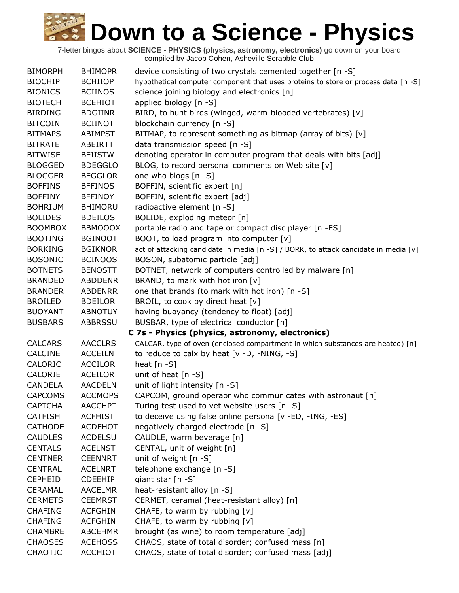| <b>BIMORPH</b> | <b>BHIMOPR</b> | device consisting of two crystals cemented together [n -S]                          |
|----------------|----------------|-------------------------------------------------------------------------------------|
| <b>BIOCHIP</b> | <b>BCHIIOP</b> | hypothetical computer component that uses proteins to store or process data [n -S]  |
| <b>BIONICS</b> | <b>BCIINOS</b> | science joining biology and electronics [n]                                         |
| <b>BIOTECH</b> | <b>BCEHIOT</b> | applied biology [n -S]                                                              |
| <b>BIRDING</b> | <b>BDGIINR</b> | BIRD, to hunt birds (winged, warm-blooded vertebrates) [v]                          |
| <b>BITCOIN</b> | <b>BCIINOT</b> | blockchain currency [n -S]                                                          |
| <b>BITMAPS</b> | <b>ABIMPST</b> | BITMAP, to represent something as bitmap (array of bits) [v]                        |
| <b>BITRATE</b> | ABEIRTT        | data transmission speed [n -S]                                                      |
| <b>BITWISE</b> | <b>BEIISTW</b> | denoting operator in computer program that deals with bits [adj]                    |
| <b>BLOGGED</b> | <b>BDEGGLO</b> | BLOG, to record personal comments on Web site [v]                                   |
| <b>BLOGGER</b> | <b>BEGGLOR</b> | one who blogs [n -S]                                                                |
| <b>BOFFINS</b> | <b>BFFINOS</b> | BOFFIN, scientific expert [n]                                                       |
| <b>BOFFINY</b> | <b>BFFINOY</b> | BOFFIN, scientific expert [adj]                                                     |
| <b>BOHRIUM</b> | <b>BHIMORU</b> | radioactive element [n -S]                                                          |
| <b>BOLIDES</b> | <b>BDEILOS</b> | BOLIDE, exploding meteor [n]                                                        |
| <b>BOOMBOX</b> | <b>BBMOOOX</b> | portable radio and tape or compact disc player [n -ES]                              |
| <b>BOOTING</b> | <b>BGINOOT</b> | BOOT, to load program into computer [v]                                             |
| <b>BORKING</b> | <b>BGIKNOR</b> | act of attacking candidate in media [n -S] / BORK, to attack candidate in media [v] |
| <b>BOSONIC</b> | <b>BCINOOS</b> | BOSON, subatomic particle [adj]                                                     |
| <b>BOTNETS</b> | <b>BENOSTT</b> | BOTNET, network of computers controlled by malware [n]                              |
| <b>BRANDED</b> | <b>ABDDENR</b> | BRAND, to mark with hot iron [v]                                                    |
| <b>BRANDER</b> | <b>ABDENRR</b> | one that brands (to mark with hot iron) [n -S]                                      |
| <b>BROILED</b> | <b>BDEILOR</b> | BROIL, to cook by direct heat [v]                                                   |
| <b>BUOYANT</b> | <b>ABNOTUY</b> | having buoyancy (tendency to float) [adj]                                           |
| <b>BUSBARS</b> | <b>ABBRSSU</b> | BUSBAR, type of electrical conductor [n]                                            |
|                |                | C 7s - Physics (physics, astronomy, electronics)                                    |
| <b>CALCARS</b> | <b>AACCLRS</b> | CALCAR, type of oven (enclosed compartment in which substances are heated) [n]      |
| <b>CALCINE</b> | <b>ACCEILN</b> | to reduce to calx by heat [v -D, -NING, -S]                                         |
| CALORIC        | <b>ACCILOR</b> | heat $[n - S]$                                                                      |
| CALORIE        | <b>ACEILOR</b> | unit of heat $[n -S]$                                                               |
| <b>CANDELA</b> | <b>AACDELN</b> | unit of light intensity [n -S]                                                      |
| <b>CAPCOMS</b> | <b>ACCMOPS</b> | CAPCOM, ground operaor who communicates with astronaut [n]                          |
| <b>CAPTCHA</b> | <b>AACCHPT</b> | Turing test used to vet website users [n -S]                                        |
| <b>CATFISH</b> | <b>ACFHIST</b> | to deceive using false online persona [v -ED, -ING, -ES]                            |
| <b>CATHODE</b> | <b>ACDEHOT</b> | negatively charged electrode [n -S]                                                 |
| <b>CAUDLES</b> | <b>ACDELSU</b> | CAUDLE, warm beverage [n]                                                           |
| <b>CENTALS</b> | <b>ACELNST</b> | CENTAL, unit of weight [n]                                                          |
| <b>CENTNER</b> | <b>CEENNRT</b> | unit of weight [n -S]                                                               |
| <b>CENTRAL</b> | <b>ACELNRT</b> | telephone exchange [n -S]                                                           |
| <b>CEPHEID</b> | <b>CDEEHIP</b> | giant star [n -S]                                                                   |
| <b>CERAMAL</b> | <b>AACELMR</b> | heat-resistant alloy [n -S]                                                         |
| <b>CERMETS</b> | <b>CEEMRST</b> | CERMET, ceramal (heat-resistant alloy) [n]                                          |
| <b>CHAFING</b> | <b>ACFGHIN</b> | CHAFE, to warm by rubbing [v]                                                       |
| <b>CHAFING</b> | <b>ACFGHIN</b> | CHAFE, to warm by rubbing $[v]$                                                     |
| <b>CHAMBRE</b> | <b>ABCEHMR</b> | brought (as wine) to room temperature [adj]                                         |
| <b>CHAOSES</b> | <b>ACEHOSS</b> | CHAOS, state of total disorder; confused mass [n]                                   |
| <b>CHAOTIC</b> | <b>ACCHIOT</b> | CHAOS, state of total disorder; confused mass [adj]                                 |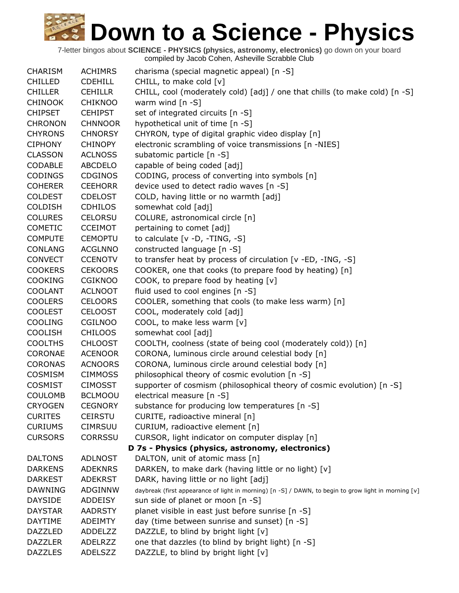| <b>CHARISM</b> | <b>ACHIMRS</b> | charisma (special magnetic appeal) [n -S]                                                            |
|----------------|----------------|------------------------------------------------------------------------------------------------------|
| <b>CHILLED</b> | <b>CDEHILL</b> | CHILL, to make cold [v]                                                                              |
| <b>CHILLER</b> | <b>CEHILLR</b> | CHILL, cool (moderately cold) [adj] / one that chills (to make cold) [n -S]                          |
| <b>CHINOOK</b> | <b>CHIKNOO</b> | warm wind $[n -S]$                                                                                   |
| <b>CHIPSET</b> | <b>CEHIPST</b> | set of integrated circuits [n -S]                                                                    |
| <b>CHRONON</b> | <b>CHNNOOR</b> | hypothetical unit of time [n -S]                                                                     |
| <b>CHYRONS</b> | <b>CHNORSY</b> | CHYRON, type of digital graphic video display [n]                                                    |
| <b>CIPHONY</b> | <b>CHINOPY</b> | electronic scrambling of voice transmissions [n -NIES]                                               |
| <b>CLASSON</b> | <b>ACLNOSS</b> | subatomic particle [n -S]                                                                            |
| <b>CODABLE</b> | <b>ABCDELO</b> | capable of being coded [adj]                                                                         |
| <b>CODINGS</b> | <b>CDGINOS</b> | CODING, process of converting into symbols [n]                                                       |
| <b>COHERER</b> | <b>CEEHORR</b> | device used to detect radio waves [n -S]                                                             |
| <b>COLDEST</b> | <b>CDELOST</b> | COLD, having little or no warmth [adj]                                                               |
| <b>COLDISH</b> | <b>CDHILOS</b> | somewhat cold [adj]                                                                                  |
| <b>COLURES</b> | <b>CELORSU</b> | COLURE, astronomical circle [n]                                                                      |
| <b>COMETIC</b> | <b>CCEIMOT</b> | pertaining to comet [adj]                                                                            |
| <b>COMPUTE</b> | <b>CEMOPTU</b> | to calculate [v -D, -TING, -S]                                                                       |
| <b>CONLANG</b> | <b>ACGLNNO</b> | constructed language [n -S]                                                                          |
| <b>CONVECT</b> | <b>CCENOTV</b> | to transfer heat by process of circulation [v -ED, -ING, -S]                                         |
| <b>COOKERS</b> | <b>CEKOORS</b> | COOKER, one that cooks (to prepare food by heating) [n]                                              |
| <b>COOKING</b> | <b>CGIKNOO</b> | COOK, to prepare food by heating [v]                                                                 |
| <b>COOLANT</b> | <b>ACLNOOT</b> | fluid used to cool engines [n -S]                                                                    |
| <b>COOLERS</b> | <b>CELOORS</b> | COOLER, something that cools (to make less warm) [n]                                                 |
| <b>COOLEST</b> | <b>CELOOST</b> | COOL, moderately cold [adj]                                                                          |
| <b>COOLING</b> | <b>CGILNOO</b> | COOL, to make less warm [v]                                                                          |
| <b>COOLISH</b> | <b>CHILOOS</b> | somewhat cool [adj]                                                                                  |
| <b>COOLTHS</b> | <b>CHLOOST</b> | COOLTH, coolness (state of being cool (moderately cold)) [n]                                         |
| <b>CORONAE</b> | <b>ACENOOR</b> | CORONA, luminous circle around celestial body [n]                                                    |
| <b>CORONAS</b> | <b>ACNOORS</b> | CORONA, luminous circle around celestial body [n]                                                    |
| <b>COSMISM</b> | <b>CIMMOSS</b> | philosophical theory of cosmic evolution [n -S]                                                      |
| <b>COSMIST</b> | <b>CIMOSST</b> | supporter of cosmism (philosophical theory of cosmic evolution) [n -S]                               |
| <b>COULOMB</b> | <b>BCLMOOU</b> | electrical measure [n -S]                                                                            |
| <b>CRYOGEN</b> | <b>CEGNORY</b> | substance for producing low temperatures [n -S]                                                      |
| <b>CURITES</b> | <b>CEIRSTU</b> | CURITE, radioactive mineral [n]                                                                      |
| <b>CURIUMS</b> | <b>CIMRSUU</b> | CURIUM, radioactive element [n]                                                                      |
| <b>CURSORS</b> | <b>CORRSSU</b> | CURSOR, light indicator on computer display [n]                                                      |
|                |                | D 7s - Physics (physics, astronomy, electronics)                                                     |
| <b>DALTONS</b> | <b>ADLNOST</b> | DALTON, unit of atomic mass [n]                                                                      |
| <b>DARKENS</b> | <b>ADEKNRS</b> | DARKEN, to make dark (having little or no light) [v]                                                 |
| <b>DARKEST</b> | <b>ADEKRST</b> | DARK, having little or no light [adj]                                                                |
| <b>DAWNING</b> | <b>ADGINNW</b> | daybreak (first appearance of light in morning) [n -S] / DAWN, to begin to grow light in morning [v] |
| <b>DAYSIDE</b> | <b>ADDEISY</b> | sun side of planet or moon [n -S]                                                                    |
| <b>DAYSTAR</b> | <b>AADRSTY</b> | planet visible in east just before sunrise [n -S]                                                    |
| <b>DAYTIME</b> | <b>ADEIMTY</b> | day (time between sunrise and sunset) [n -S]                                                         |
| <b>DAZZLED</b> | ADDELZZ        | DAZZLE, to blind by bright light [v]                                                                 |
| <b>DAZZLER</b> | <b>ADELRZZ</b> | one that dazzles (to blind by bright light) [n -S]                                                   |
| <b>DAZZLES</b> | ADELSZZ        | DAZZLE, to blind by bright light [v]                                                                 |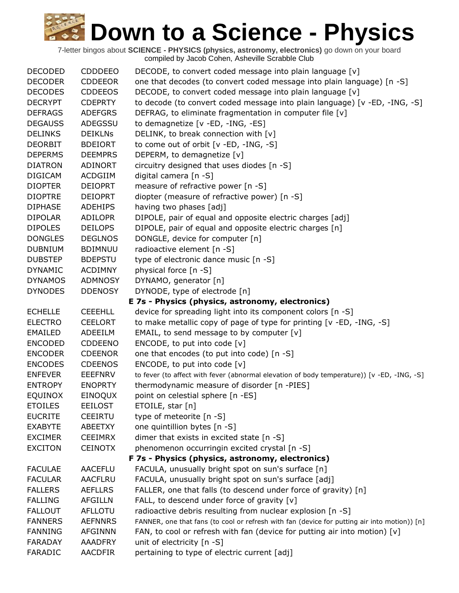| <b>DECODED</b> | <b>CDDDEEO</b> | DECODE, to convert coded message into plain language [v]                                     |
|----------------|----------------|----------------------------------------------------------------------------------------------|
| <b>DECODER</b> | <b>CDDEEOR</b> | one that decodes (to convert coded message into plain language) [n -S]                       |
| <b>DECODES</b> | <b>CDDEEOS</b> | DECODE, to convert coded message into plain language [v]                                     |
| <b>DECRYPT</b> | <b>CDEPRTY</b> | to decode (to convert coded message into plain language) [v -ED, -ING, -S]                   |
| <b>DEFRAGS</b> | <b>ADEFGRS</b> | DEFRAG, to eliminate fragmentation in computer file [v]                                      |
| <b>DEGAUSS</b> | ADEGSSU        | to demagnetize [v -ED, -ING, -ES]                                                            |
| <b>DELINKS</b> | <b>DEIKLNS</b> | DELINK, to break connection with [v]                                                         |
| <b>DEORBIT</b> | <b>BDEIORT</b> | to come out of orbit [v -ED, -ING, -S]                                                       |
| <b>DEPERMS</b> | <b>DEEMPRS</b> | DEPERM, to demagnetize [v]                                                                   |
| <b>DIATRON</b> | <b>ADINORT</b> | circuitry designed that uses diodes [n -S]                                                   |
| <b>DIGICAM</b> | <b>ACDGIIM</b> | digital camera [n -S]                                                                        |
| <b>DIOPTER</b> | <b>DEIOPRT</b> | measure of refractive power [n -S]                                                           |
| <b>DIOPTRE</b> | <b>DEIOPRT</b> | diopter (measure of refractive power) [n -S]                                                 |
| <b>DIPHASE</b> | <b>ADEHIPS</b> | having two phases [adj]                                                                      |
| <b>DIPOLAR</b> | <b>ADILOPR</b> | DIPOLE, pair of equal and opposite electric charges [adj]                                    |
| <b>DIPOLES</b> | <b>DEILOPS</b> | DIPOLE, pair of equal and opposite electric charges [n]                                      |
| <b>DONGLES</b> | <b>DEGLNOS</b> | DONGLE, device for computer [n]                                                              |
| <b>DUBNIUM</b> | <b>BDIMNUU</b> | radioactive element [n -S]                                                                   |
| <b>DUBSTEP</b> | <b>BDEPSTU</b> | type of electronic dance music [n -S]                                                        |
| <b>DYNAMIC</b> | <b>ACDIMNY</b> | physical force [n -S]                                                                        |
| <b>DYNAMOS</b> | <b>ADMNOSY</b> | DYNAMO, generator [n]                                                                        |
| <b>DYNODES</b> | <b>DDENOSY</b> | DYNODE, type of electrode [n]                                                                |
|                |                | E 7s - Physics (physics, astronomy, electronics)                                             |
| <b>ECHELLE</b> | <b>CEEEHLL</b> | device for spreading light into its component colors [n -S]                                  |
| <b>ELECTRO</b> | <b>CEELORT</b> | to make metallic copy of page of type for printing [v -ED, -ING, -S]                         |
| <b>EMAILED</b> | ADEEILM        | EMAIL, to send message to by computer $[v]$                                                  |
| <b>ENCODED</b> | <b>CDDEENO</b> | ENCODE, to put into code [v]                                                                 |
| <b>ENCODER</b> | <b>CDEENOR</b> | one that encodes (to put into code) [n -S]                                                   |
| <b>ENCODES</b> | <b>CDEENOS</b> | ENCODE, to put into code [v]                                                                 |
| <b>ENFEVER</b> | <b>EEEFNRV</b> | to fever (to affect with fever (abnormal elevation of body temperature)) [v -ED, -ING, -S]   |
| <b>ENTROPY</b> | <b>ENOPRTY</b> | thermodynamic measure of disorder [n -PIES]                                                  |
| <b>EQUINOX</b> | EINOQUX        | point on celestial sphere [n -ES]                                                            |
| <b>ETOILES</b> | <b>EEILOST</b> | ETOILE, star [n]                                                                             |
| <b>EUCRITE</b> | <b>CEEIRTU</b> | type of meteorite [n -S]                                                                     |
| <b>EXABYTE</b> | <b>ABEETXY</b> | one quintillion bytes [n -S]                                                                 |
| <b>EXCIMER</b> | <b>CEEIMRX</b> | dimer that exists in excited state [n -S]                                                    |
| <b>EXCITON</b> | <b>CEINOTX</b> | phenomenon occurringin excited crystal [n -S]                                                |
|                |                | F 7s - Physics (physics, astronomy, electronics)                                             |
| <b>FACULAE</b> | <b>AACEFLU</b> | FACULA, unusually bright spot on sun's surface [n]                                           |
| <b>FACULAR</b> | <b>AACFLRU</b> | FACULA, unusually bright spot on sun's surface [adj]                                         |
| <b>FALLERS</b> | <b>AEFLLRS</b> | FALLER, one that falls (to descend under force of gravity) [n]                               |
| <b>FALLING</b> | <b>AFGILLN</b> | FALL, to descend under force of gravity [v]                                                  |
| <b>FALLOUT</b> | <b>AFLLOTU</b> | radioactive debris resulting from nuclear explosion [n -S]                                   |
| <b>FANNERS</b> | <b>AEFNNRS</b> | FANNER, one that fans (to cool or refresh with fan (device for putting air into motion)) [n] |
| <b>FANNING</b> | <b>AFGINNN</b> | FAN, to cool or refresh with fan (device for putting air into motion) [v]                    |
| <b>FARADAY</b> | <b>AAADFRY</b> | unit of electricity [n -S]                                                                   |
| FARADIC        | <b>AACDFIR</b> | pertaining to type of electric current [adj]                                                 |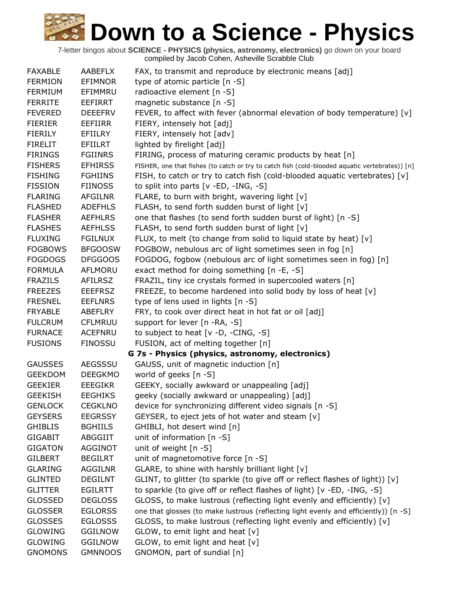| <b>FAXABLE</b> | <b>AABEFLX</b> | FAX, to transmit and reproduce by electronic means [adj]                                       |
|----------------|----------------|------------------------------------------------------------------------------------------------|
| <b>FERMION</b> | <b>EFIMNOR</b> | type of atomic particle [n -S]                                                                 |
| <b>FERMIUM</b> | EFIMMRU        | radioactive element [n -S]                                                                     |
| <b>FERRITE</b> | <b>EEFIRRT</b> | magnetic substance [n -S]                                                                      |
| <b>FEVERED</b> | <b>DEEEFRV</b> | FEVER, to affect with fever (abnormal elevation of body temperature) [v]                       |
| <b>FIERIER</b> | EEFIIRR        | FIERY, intensely hot [adj]                                                                     |
| <b>FIERILY</b> | EFIILRY        | FIERY, intensely hot [adv]                                                                     |
| <b>FIRELIT</b> | EFIILRT        | lighted by firelight [adj]                                                                     |
| <b>FIRINGS</b> | <b>FGIINRS</b> | FIRING, process of maturing ceramic products by heat [n]                                       |
| <b>FISHERS</b> | <b>EFHIRSS</b> | FISHER, one that fishes (to catch or try to catch fish (cold-blooded aquatic vertebrates)) [n] |
| <b>FISHING</b> | <b>FGHIINS</b> | FISH, to catch or try to catch fish (cold-blooded aquatic vertebrates) [v]                     |
| <b>FISSION</b> | <b>FIINOSS</b> | to split into parts $[v - ED, -ING, -S]$                                                       |
| <b>FLARING</b> | <b>AFGILNR</b> | FLARE, to burn with bright, wavering light [v]                                                 |
| <b>FLASHED</b> | <b>ADEFHLS</b> | FLASH, to send forth sudden burst of light [v]                                                 |
| <b>FLASHER</b> | <b>AEFHLRS</b> | one that flashes (to send forth sudden burst of light) [n -S]                                  |
| <b>FLASHES</b> | <b>AEFHLSS</b> | FLASH, to send forth sudden burst of light [v]                                                 |
| <b>FLUXING</b> | <b>FGILNUX</b> | FLUX, to melt (to change from solid to liquid state by heat) [v]                               |
| <b>FOGBOWS</b> | <b>BFGOOSW</b> | FOGBOW, nebulous arc of light sometimes seen in fog [n]                                        |
| <b>FOGDOGS</b> | <b>DFGGOOS</b> | FOGDOG, fogbow (nebulous arc of light sometimes seen in fog) [n]                               |
| <b>FORMULA</b> | AFLMORU        | exact method for doing something [n -E, -S]                                                    |
| <b>FRAZILS</b> | <b>AFILRSZ</b> | FRAZIL, tiny ice crystals formed in supercooled waters [n]                                     |
| <b>FREEZES</b> | <b>EEEFRSZ</b> | FREEZE, to become hardened into solid body by loss of heat [v]                                 |
| <b>FRESNEL</b> | <b>EEFLNRS</b> | type of lens used in lights [n -S]                                                             |
| <b>FRYABLE</b> | ABEFLRY        | FRY, to cook over direct heat in hot fat or oil [adj]                                          |
| <b>FULCRUM</b> | <b>CFLMRUU</b> | support for lever [n -RA, -S]                                                                  |
| <b>FURNACE</b> | <b>ACEFNRU</b> | to subject to heat $[v -D, -CING, -S]$                                                         |
| <b>FUSIONS</b> | <b>FINOSSU</b> | FUSION, act of melting together [n]                                                            |
|                |                | G 7s - Physics (physics, astronomy, electronics)                                               |
| <b>GAUSSES</b> | <b>AEGSSSU</b> | GAUSS, unit of magnetic induction [n]                                                          |
| <b>GEEKDOM</b> | <b>DEEGKMO</b> | world of geeks [n -S]                                                                          |
| <b>GEEKIER</b> | <b>EEEGIKR</b> | GEEKY, socially awkward or unappealing [adj]                                                   |
| <b>GEEKISH</b> | <b>EEGHIKS</b> | geeky (socially awkward or unappealing) [adj]                                                  |
| <b>GENLOCK</b> | <b>CEGKLNO</b> | device for synchronizing different video signals [n -S]                                        |
| <b>GEYSERS</b> | <b>EEGRSSY</b> | GEYSER, to eject jets of hot water and steam [v]                                               |
| <b>GHIBLIS</b> | <b>BGHIILS</b> | GHIBLI, hot desert wind [n]                                                                    |
| <b>GIGABIT</b> | ABGGIIT        | unit of information [n -S]                                                                     |
| <b>GIGATON</b> | AGGINOT        | unit of weight [n -S]                                                                          |
| <b>GILBERT</b> | <b>BEGILRT</b> | unit of magnetomotive force [n -S]                                                             |
| <b>GLARING</b> | <b>AGGILNR</b> | GLARE, to shine with harshly brilliant light [v]                                               |
| <b>GLINTED</b> | <b>DEGILNT</b> | GLINT, to glitter (to sparkle (to give off or reflect flashes of light)) [v]                   |
| <b>GLITTER</b> | <b>EGILRTT</b> | to sparkle (to give off or reflect flashes of light) [v -ED, -ING, -S]                         |
| <b>GLOSSED</b> | <b>DEGLOSS</b> | GLOSS, to make lustrous (reflecting light evenly and efficiently) [v]                          |
| <b>GLOSSER</b> | <b>EGLORSS</b> | one that glosses (to make lustrous (reflecting light evenly and efficiently)) [n -S]           |
| <b>GLOSSES</b> | <b>EGLOSSS</b> | GLOSS, to make lustrous (reflecting light evenly and efficiently) [v]                          |
| <b>GLOWING</b> | <b>GGILNOW</b> | GLOW, to emit light and heat [v]                                                               |
| <b>GLOWING</b> | <b>GGILNOW</b> | GLOW, to emit light and heat [v]                                                               |
| <b>GNOMONS</b> | <b>GMNNOOS</b> | GNOMON, part of sundial [n]                                                                    |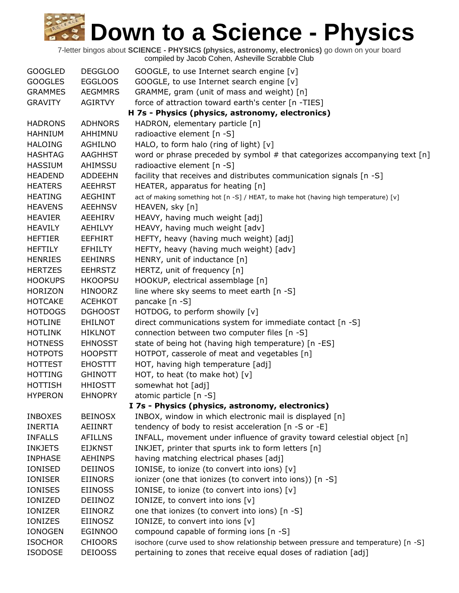| <b>GOOGLED</b> | <b>DEGGLOO</b> | GOOGLE, to use Internet search engine [v]                                            |
|----------------|----------------|--------------------------------------------------------------------------------------|
| <b>GOOGLES</b> | <b>EGGLOOS</b> | GOOGLE, to use Internet search engine [v]                                            |
| <b>GRAMMES</b> | <b>AEGMMRS</b> | GRAMME, gram (unit of mass and weight) [n]                                           |
| <b>GRAVITY</b> | <b>AGIRTVY</b> | force of attraction toward earth's center [n -TIES]                                  |
|                |                | H 7s - Physics (physics, astronomy, electronics)                                     |
| <b>HADRONS</b> | <b>ADHNORS</b> | HADRON, elementary particle [n]                                                      |
| <b>HAHNIUM</b> | AHHIMNU        | radioactive element [n -S]                                                           |
| <b>HALOING</b> | <b>AGHILNO</b> | HALO, to form halo (ring of light) [v]                                               |
| <b>HASHTAG</b> | <b>AAGHHST</b> | word or phrase preceded by symbol # that categorizes accompanying text [n]           |
| <b>HASSIUM</b> | AHIMSSU        | radioactive element [n -S]                                                           |
| <b>HEADEND</b> | <b>ADDEEHN</b> | facility that receives and distributes communication signals [n -S]                  |
| <b>HEATERS</b> | <b>AEEHRST</b> | HEATER, apparatus for heating [n]                                                    |
| <b>HEATING</b> | <b>AEGHINT</b> | act of making something hot [n -S] / HEAT, to make hot (having high temperature) [v] |
| <b>HEAVENS</b> | <b>AEEHNSV</b> | HEAVEN, sky [n]                                                                      |
| <b>HEAVIER</b> | AEEHIRV        | HEAVY, having much weight [adj]                                                      |
| <b>HEAVILY</b> | AEHILVY        | HEAVY, having much weight [adv]                                                      |
| <b>HEFTIER</b> | <b>EEFHIRT</b> | HEFTY, heavy (having much weight) [adj]                                              |
| <b>HEFTILY</b> | <b>EFHILTY</b> | HEFTY, heavy (having much weight) [adv]                                              |
| <b>HENRIES</b> | <b>EEHINRS</b> | HENRY, unit of inductance [n]                                                        |
| <b>HERTZES</b> | <b>EEHRSTZ</b> | HERTZ, unit of frequency [n]                                                         |
| <b>HOOKUPS</b> | <b>HKOOPSU</b> | HOOKUP, electrical assemblage [n]                                                    |
| <b>HORIZON</b> | <b>HINOORZ</b> | line where sky seems to meet earth [n -S]                                            |
| <b>HOTCAKE</b> | <b>ACEHKOT</b> | pancake [n -S]                                                                       |
| <b>HOTDOGS</b> | <b>DGHOOST</b> | HOTDOG, to perform showily [v]                                                       |
| <b>HOTLINE</b> | <b>EHILNOT</b> | direct communications system for immediate contact [n -S]                            |
| <b>HOTLINK</b> | <b>HIKLNOT</b> | connection between two computer files [n -S]                                         |
| <b>HOTNESS</b> | <b>EHNOSST</b> | state of being hot (having high temperature) [n -ES]                                 |
| <b>HOTPOTS</b> | <b>HOOPSTT</b> | HOTPOT, casserole of meat and vegetables [n]                                         |
| <b>HOTTEST</b> | <b>EHOSTTT</b> | HOT, having high temperature [adj]                                                   |
| <b>HOTTING</b> | <b>GHINOTT</b> | HOT, to heat (to make hot) [v]                                                       |
| <b>HOTTISH</b> | <b>HHIOSTT</b> | somewhat hot [adj]                                                                   |
| <b>HYPERON</b> | <b>EHNOPRY</b> | atomic particle [n -S]                                                               |
|                |                | I 7s - Physics (physics, astronomy, electronics)                                     |
| <b>INBOXES</b> | <b>BEINOSX</b> | INBOX, window in which electronic mail is displayed [n]                              |
| <b>INERTIA</b> | AEIINRT        | tendency of body to resist acceleration [n -S or -E]                                 |
| <b>INFALLS</b> | <b>AFILLNS</b> | INFALL, movement under influence of gravity toward celestial object [n]              |
| <b>INKJETS</b> | <b>EIJKNST</b> | INKJET, printer that spurts ink to form letters [n]                                  |
| <b>INPHASE</b> | <b>AEHINPS</b> | having matching electrical phases [adj]                                              |
| IONISED        | <b>DEIINOS</b> | IONISE, to ionize (to convert into ions) [v]                                         |
| <b>IONISER</b> | <b>EIINORS</b> | ionizer (one that ionizes (to convert into ions)) [n -S]                             |
| <b>IONISES</b> | <b>EIINOSS</b> | IONISE, to ionize (to convert into ions) [v]                                         |
| IONIZED        | DEIINOZ        | IONIZE, to convert into ions [v]                                                     |
| IONIZER        | EIINORZ        | one that ionizes (to convert into ions) [n -S]                                       |
| IONIZES        | EIINOSZ        | IONIZE, to convert into ions [v]                                                     |
| <b>IONOGEN</b> | <b>EGINNOO</b> | compound capable of forming ions [n -S]                                              |
| <b>ISOCHOR</b> | <b>CHIOORS</b> | isochore (curve used to show relationship between pressure and temperature) [n -S]   |
| <b>ISODOSE</b> | <b>DEIOOSS</b> | pertaining to zones that receive equal doses of radiation [adj]                      |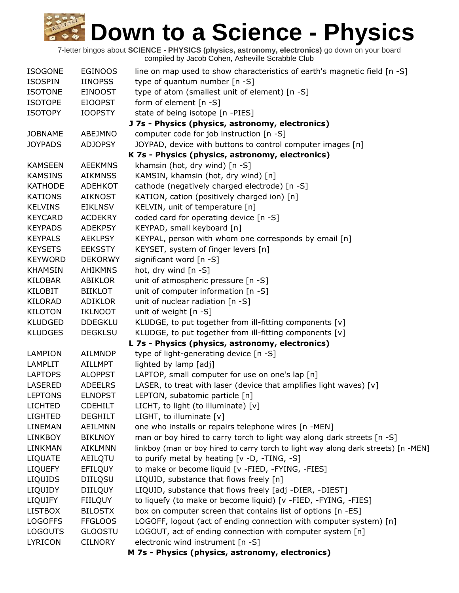| <b>ISOGONE</b> | <b>EGINOOS</b> | line on map used to show characteristics of earth's magnetic field [n -S]          |
|----------------|----------------|------------------------------------------------------------------------------------|
| <b>ISOSPIN</b> | <b>IINOPSS</b> | type of quantum number [n -S]                                                      |
| <b>ISOTONE</b> | <b>EINOOST</b> | type of atom (smallest unit of element) [n -S]                                     |
| <b>ISOTOPE</b> | <b>EIOOPST</b> | form of element [n -S]                                                             |
| <b>ISOTOPY</b> | <b>IOOPSTY</b> | state of being isotope [n -PIES]                                                   |
|                |                | J 7s - Physics (physics, astronomy, electronics)                                   |
| <b>JOBNAME</b> | ABEJMNO        | computer code for job instruction [n -S]                                           |
| <b>JOYPADS</b> | <b>ADJOPSY</b> | JOYPAD, device with buttons to control computer images [n]                         |
|                |                | K 7s - Physics (physics, astronomy, electronics)                                   |
| <b>KAMSEEN</b> | <b>AEEKMNS</b> | khamsin (hot, dry wind) [n -S]                                                     |
| <b>KAMSINS</b> | <b>AIKMNSS</b> | KAMSIN, khamsin (hot, dry wind) [n]                                                |
| <b>KATHODE</b> | <b>ADEHKOT</b> | cathode (negatively charged electrode) [n -S]                                      |
| <b>KATIONS</b> | <b>AIKNOST</b> | KATION, cation (positively charged ion) [n]                                        |
| <b>KELVINS</b> | <b>EIKLNSV</b> | KELVIN, unit of temperature [n]                                                    |
| <b>KEYCARD</b> | <b>ACDEKRY</b> | coded card for operating device [n -S]                                             |
| <b>KEYPADS</b> | <b>ADEKPSY</b> | KEYPAD, small keyboard [n]                                                         |
| <b>KEYPALS</b> | <b>AEKLPSY</b> | KEYPAL, person with whom one corresponds by email [n]                              |
| <b>KEYSETS</b> | <b>EEKSSTY</b> | KEYSET, system of finger levers [n]                                                |
| <b>KEYWORD</b> | <b>DEKORWY</b> | significant word [n -S]                                                            |
| <b>KHAMSIN</b> | <b>AHIKMNS</b> | hot, dry wind [n -S]                                                               |
| <b>KILOBAR</b> | ABIKLOR        | unit of atmospheric pressure [n -S]                                                |
| <b>KILOBIT</b> | <b>BIIKLOT</b> | unit of computer information [n -S]                                                |
| <b>KILORAD</b> | ADIKLOR        | unit of nuclear radiation [n -S]                                                   |
| <b>KILOTON</b> | <b>IKLNOOT</b> | unit of weight [n -S]                                                              |
| <b>KLUDGED</b> | <b>DDEGKLU</b> | KLUDGE, to put together from ill-fitting components [v]                            |
| <b>KLUDGES</b> | <b>DEGKLSU</b> | KLUDGE, to put together from ill-fitting components [v]                            |
|                |                | L 7s - Physics (physics, astronomy, electronics)                                   |
| <b>LAMPION</b> | <b>AILMNOP</b> | type of light-generating device [n -S]                                             |
| <b>LAMPLIT</b> | AILLMPT        | lighted by lamp [adj]                                                              |
| <b>LAPTOPS</b> | <b>ALOPPST</b> | LAPTOP, small computer for use on one's lap [n]                                    |
| <b>LASERED</b> | <b>ADEELRS</b> | LASER, to treat with laser (device that amplifies light waves) $[v]$               |
| <b>LEPTONS</b> | <b>ELNOPST</b> | LEPTON, subatomic particle [n]                                                     |
| <b>LICHTED</b> | <b>CDEHILT</b> | LICHT, to light (to illuminate) [v]                                                |
| <b>LIGHTED</b> | <b>DEGHILT</b> | LIGHT, to illuminate [v]                                                           |
| <b>LINEMAN</b> | AEILMNN        | one who installs or repairs telephone wires [n -MEN]                               |
| <b>LINKBOY</b> | <b>BIKLNOY</b> | man or boy hired to carry torch to light way along dark streets [n -S]             |
| LINKMAN        | <b>AIKLMNN</b> | linkboy (man or boy hired to carry torch to light way along dark streets) [n -MEN] |
| LIQUATE        | AEILQTU        | to purify metal by heating [v -D, -TING, -S]                                       |
| <b>LIQUEFY</b> | EFILQUY        | to make or become liquid [v -FIED, -FYING, -FIES]                                  |
| <b>LIQUIDS</b> | <b>DIILQSU</b> | LIQUID, substance that flows freely [n]                                            |
| LIQUIDY        | <b>DIILQUY</b> | LIQUID, substance that flows freely [adj -DIER, -DIEST]                            |
| <b>LIQUIFY</b> | <b>FIILQUY</b> | to liquefy (to make or become liquid) [v -FIED, -FYING, -FIES]                     |
| <b>LISTBOX</b> | <b>BILOSTX</b> | box on computer screen that contains list of options [n -ES]                       |
| <b>LOGOFFS</b> | <b>FFGLOOS</b> | LOGOFF, logout (act of ending connection with computer system) [n]                 |
| <b>LOGOUTS</b> | <b>GLOOSTU</b> | LOGOUT, act of ending connection with computer system [n]                          |
| <b>LYRICON</b> | <b>CILNORY</b> | electronic wind instrument [n -S]                                                  |
|                |                | M 7s - Physics (physics, astronomy, electronics)                                   |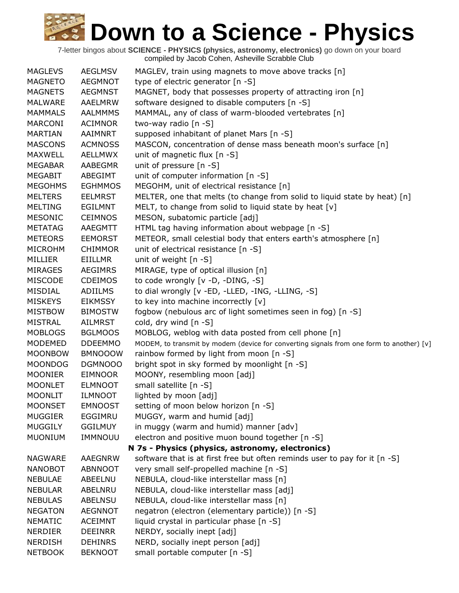| <b>MAGLEVS</b> | <b>AEGLMSV</b> | MAGLEV, train using magnets to move above tracks [n]                                     |
|----------------|----------------|------------------------------------------------------------------------------------------|
| <b>MAGNETO</b> | AEGMNOT        | type of electric generator [n -S]                                                        |
| <b>MAGNETS</b> | <b>AEGMNST</b> | MAGNET, body that possesses property of attracting iron [n]                              |
| <b>MALWARE</b> | AAELMRW        | software designed to disable computers [n -S]                                            |
| <b>MAMMALS</b> | <b>AALMMMS</b> | MAMMAL, any of class of warm-blooded vertebrates [n]                                     |
| <b>MARCONI</b> | <b>ACIMNOR</b> | two-way radio [n -S]                                                                     |
| <b>MARTIAN</b> | AAIMNRT        | supposed inhabitant of planet Mars [n -S]                                                |
| <b>MASCONS</b> | <b>ACMNOSS</b> | MASCON, concentration of dense mass beneath moon's surface [n]                           |
| <b>MAXWELL</b> | <b>AELLMWX</b> | unit of magnetic flux $[n - S]$                                                          |
| <b>MEGABAR</b> | AABEGMR        | unit of pressure [n -S]                                                                  |
| <b>MEGABIT</b> | ABEGIMT        | unit of computer information [n -S]                                                      |
| <b>MEGOHMS</b> | <b>EGHMMOS</b> | MEGOHM, unit of electrical resistance [n]                                                |
| <b>MELTERS</b> | <b>EELMRST</b> | MELTER, one that melts (to change from solid to liquid state by heat) [n]                |
| <b>MELTING</b> | <b>EGILMNT</b> | MELT, to change from solid to liquid state by heat [v]                                   |
| MESONIC        | <b>CEIMNOS</b> | MESON, subatomic particle [adj]                                                          |
| <b>METATAG</b> | AAEGMTT        | HTML tag having information about webpage [n -S]                                         |
| <b>METEORS</b> | <b>EEMORST</b> | METEOR, small celestial body that enters earth's atmosphere [n]                          |
| <b>MICROHM</b> | <b>CHIMMOR</b> | unit of electrical resistance [n -S]                                                     |
| MILLIER        | EIILLMR        | unit of weight $[n -S]$                                                                  |
| <b>MIRAGES</b> | <b>AEGIMRS</b> | MIRAGE, type of optical illusion [n]                                                     |
| <b>MISCODE</b> | <b>CDEIMOS</b> | to code wrongly [v -D, -DING, -S]                                                        |
| MISDIAL        | <b>ADIILMS</b> | to dial wrongly [v -ED, -LLED, -ING, -LLING, -S]                                         |
| <b>MISKEYS</b> | <b>EIKMSSY</b> | to key into machine incorrectly [v]                                                      |
| <b>MISTBOW</b> | <b>BIMOSTW</b> | fogbow (nebulous arc of light sometimes seen in fog) [n -S]                              |
| <b>MISTRAL</b> | AILMRST        | cold, dry wind $[n -S]$                                                                  |
| <b>MOBLOGS</b> | <b>BGLMOOS</b> | MOBLOG, weblog with data posted from cell phone [n]                                      |
| MODEMED        | <b>DDEEMMO</b> | MODEM, to transmit by modem (device for converting signals from one form to another) [v] |
| <b>MOONBOW</b> | <b>BMNOOOW</b> | rainbow formed by light from moon [n -S]                                                 |
| <b>MOONDOG</b> | DGMNOOO        | bright spot in sky formed by moonlight [n -S]                                            |
| <b>MOONIER</b> | <b>EIMNOOR</b> | MOONY, resembling moon [adj]                                                             |
| <b>MOONLET</b> | <b>ELMNOOT</b> | small satellite [n -S]                                                                   |
| <b>MOONLIT</b> | <b>ILMNOOT</b> | lighted by moon [adj]                                                                    |
| <b>MOONSET</b> | <b>EMNOOST</b> | setting of moon below horizon [n -S]                                                     |
| <b>MUGGIER</b> | EGGIMRU        | MUGGY, warm and humid [adj]                                                              |
| <b>MUGGILY</b> | <b>GGILMUY</b> | in muggy (warm and humid) manner [adv]                                                   |
| <b>MUONIUM</b> | IMMNOUU        | electron and positive muon bound together [n -S]                                         |
|                |                | N 7s - Physics (physics, astronomy, electronics)                                         |
| <b>NAGWARE</b> | <b>AAEGNRW</b> | software that is at first free but often reminds user to pay for it [n -S]               |
| <b>NANOBOT</b> | <b>ABNNOOT</b> | very small self-propelled machine [n -S]                                                 |
| <b>NEBULAE</b> | ABEELNU        | NEBULA, cloud-like interstellar mass [n]                                                 |
| <b>NEBULAR</b> | ABELNRU        | NEBULA, cloud-like interstellar mass [adj]                                               |
| <b>NEBULAS</b> | <b>ABELNSU</b> | NEBULA, cloud-like interstellar mass [n]                                                 |
| <b>NEGATON</b> | <b>AEGNNOT</b> | negatron (electron (elementary particle)) [n -S]                                         |
| <b>NEMATIC</b> | <b>ACEIMNT</b> | liquid crystal in particular phase [n -S]                                                |
| <b>NERDIER</b> | <b>DEEINRR</b> | NERDY, socially inept [adj]                                                              |
| <b>NERDISH</b> | <b>DEHINRS</b> | NERD, socially inept person [adj]                                                        |
| <b>NETBOOK</b> | <b>BEKNOOT</b> | small portable computer [n -S]                                                           |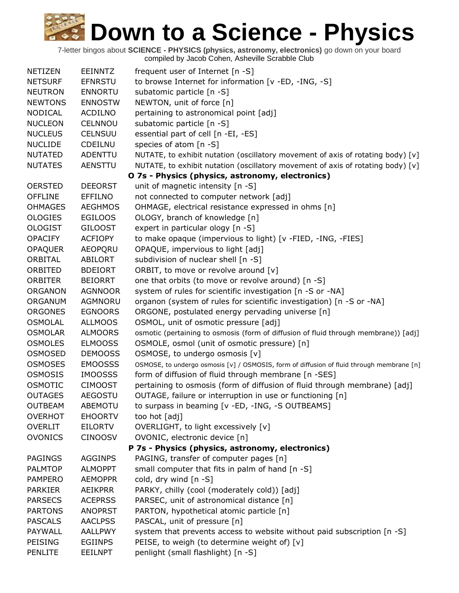| NETIZEN        | <b>EEINNTZ</b> | frequent user of Internet [n -S]                                                          |
|----------------|----------------|-------------------------------------------------------------------------------------------|
| <b>NETSURF</b> | <b>EFNRSTU</b> | to browse Internet for information [v -ED, -ING, -S]                                      |
| <b>NEUTRON</b> | <b>ENNORTU</b> | subatomic particle [n -S]                                                                 |
| <b>NEWTONS</b> | <b>ENNOSTW</b> | NEWTON, unit of force [n]                                                                 |
| <b>NODICAL</b> | <b>ACDILNO</b> | pertaining to astronomical point [adj]                                                    |
| <b>NUCLEON</b> | CELNNOU        | subatomic particle [n -S]                                                                 |
| <b>NUCLEUS</b> | <b>CELNSUU</b> | essential part of cell [n -EI, -ES]                                                       |
| <b>NUCLIDE</b> | CDEILNU        | species of atom [n -S]                                                                    |
| <b>NUTATED</b> | ADENTTU        | NUTATE, to exhibit nutation (oscillatory movement of axis of rotating body) [v]           |
| <b>NUTATES</b> | <b>AENSTTU</b> | NUTATE, to exhibit nutation (oscillatory movement of axis of rotating body) [v]           |
|                |                | O 7s - Physics (physics, astronomy, electronics)                                          |
| <b>OERSTED</b> | <b>DEEORST</b> | unit of magnetic intensity [n -S]                                                         |
| <b>OFFLINE</b> | <b>EFFILNO</b> | not connected to computer network [adj]                                                   |
| <b>OHMAGES</b> | <b>AEGHMOS</b> | OHMAGE, electrical resistance expressed in ohms [n]                                       |
| <b>OLOGIES</b> | <b>EGILOOS</b> | OLOGY, branch of knowledge [n]                                                            |
| <b>OLOGIST</b> | <b>GILOOST</b> | expert in particular ology [n -S]                                                         |
| <b>OPACIFY</b> | <b>ACFIOPY</b> | to make opaque (impervious to light) [v -FIED, -ING, -FIES]                               |
| <b>OPAQUER</b> | AEOPQRU        | OPAQUE, impervious to light [adj]                                                         |
| ORBITAL        | <b>ABILORT</b> | subdivision of nuclear shell [n -S]                                                       |
| ORBITED        | <b>BDEIORT</b> | ORBIT, to move or revolve around [v]                                                      |
| <b>ORBITER</b> | <b>BEIORRT</b> | one that orbits (to move or revolve around) [n -S]                                        |
| <b>ORGANON</b> | <b>AGNNOOR</b> | system of rules for scientific investigation [n -S or -NA]                                |
| ORGANUM        | AGMNORU        | organon (system of rules for scientific investigation) [n -S or -NA]                      |
| <b>ORGONES</b> | <b>EGNOORS</b> | ORGONE, postulated energy pervading universe [n]                                          |
| <b>OSMOLAL</b> | <b>ALLMOOS</b> | OSMOL, unit of osmotic pressure [adj]                                                     |
| <b>OSMOLAR</b> | <b>ALMOORS</b> | osmotic (pertaining to osmosis (form of diffusion of fluid through membrane)) [adj]       |
| <b>OSMOLES</b> | <b>ELMOOSS</b> | OSMOLE, osmol (unit of osmotic pressure) [n]                                              |
| <b>OSMOSED</b> | <b>DEMOOSS</b> | OSMOSE, to undergo osmosis [v]                                                            |
| <b>OSMOSES</b> | <b>EMOOSSS</b> | OSMOSE, to undergo osmosis [v] / OSMOSIS, form of diffusion of fluid through membrane [n] |
| <b>OSMOSIS</b> | <b>IMOOSSS</b> | form of diffusion of fluid through membrane [n -SES]                                      |
| <b>OSMOTIC</b> | <b>CIMOOST</b> | pertaining to osmosis (form of diffusion of fluid through membrane) [adj]                 |
| <b>OUTAGES</b> | <b>AEGOSTU</b> | OUTAGE, failure or interruption in use or functioning [n]                                 |
| <b>OUTBEAM</b> | <b>ABEMOTU</b> | to surpass in beaming [v -ED, -ING, -S OUTBEAMS]                                          |
| <b>OVERHOT</b> | <b>EHOORTV</b> | too hot [adj]                                                                             |
| <b>OVERLIT</b> | <b>EILORTV</b> | OVERLIGHT, to light excessively [v]                                                       |
| <b>OVONICS</b> | <b>CINOOSV</b> | OVONIC, electronic device [n]                                                             |
|                |                | P 7s - Physics (physics, astronomy, electronics)                                          |
| <b>PAGINGS</b> | <b>AGGINPS</b> | PAGING, transfer of computer pages [n]                                                    |
| <b>PALMTOP</b> | <b>ALMOPPT</b> | small computer that fits in palm of hand $[n -S]$                                         |
| <b>PAMPERO</b> | <b>AEMOPPR</b> | cold, dry wind [n -S]                                                                     |
| <b>PARKIER</b> | <b>AEIKPRR</b> | PARKY, chilly (cool (moderately cold)) [adj]                                              |
| <b>PARSECS</b> | <b>ACEPRSS</b> | PARSEC, unit of astronomical distance [n]                                                 |
| <b>PARTONS</b> | <b>ANOPRST</b> | PARTON, hypothetical atomic particle [n]                                                  |
| <b>PASCALS</b> | <b>AACLPSS</b> | PASCAL, unit of pressure [n]                                                              |
| PAYWALL        | AALLPWY        | system that prevents access to website without paid subscription [n -S]                   |
| <b>PEISING</b> | <b>EGIINPS</b> | PEISE, to weigh (to determine weight of) [v]                                              |
| <b>PENLITE</b> | <b>EEILNPT</b> | penlight (small flashlight) [n -S]                                                        |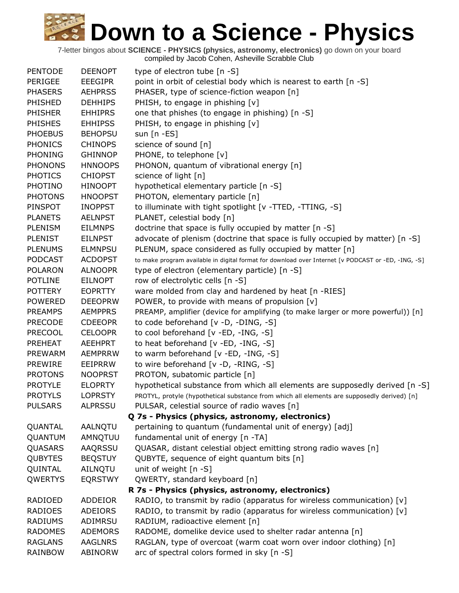| <b>PENTODE</b> | <b>DEENOPT</b> | type of electron tube $[n - S]$                                                                     |
|----------------|----------------|-----------------------------------------------------------------------------------------------------|
| PERIGEE        | EEEGIPR        | point in orbit of celestial body which is nearest to earth [n -S]                                   |
| <b>PHASERS</b> | <b>AEHPRSS</b> | PHASER, type of science-fiction weapon [n]                                                          |
| PHISHED        | <b>DEHHIPS</b> | PHISH, to engage in phishing [v]                                                                    |
| <b>PHISHER</b> | <b>EHHIPRS</b> | one that phishes (to engage in phishing) [n -S]                                                     |
| <b>PHISHES</b> | <b>EHHIPSS</b> | PHISH, to engage in phishing [v]                                                                    |
| <b>PHOEBUS</b> | <b>BEHOPSU</b> | sun $[n - ES]$                                                                                      |
| <b>PHONICS</b> | <b>CHINOPS</b> | science of sound [n]                                                                                |
| <b>PHONING</b> | <b>GHINNOP</b> | PHONE, to telephone [v]                                                                             |
| <b>PHONONS</b> | <b>HNNOOPS</b> | PHONON, quantum of vibrational energy [n]                                                           |
| <b>PHOTICS</b> | <b>CHIOPST</b> | science of light [n]                                                                                |
| <b>PHOTINO</b> | <b>HINOOPT</b> | hypothetical elementary particle [n -S]                                                             |
| <b>PHOTONS</b> | <b>HNOOPST</b> | PHOTON, elementary particle [n]                                                                     |
| PINSPOT        | <b>INOPPST</b> | to illuminate with tight spotlight [v -TTED, -TTING, -S]                                            |
| <b>PLANETS</b> | <b>AELNPST</b> | PLANET, celestial body [n]                                                                          |
| <b>PLENISM</b> | <b>EILMNPS</b> | doctrine that space is fully occupied by matter [n -S]                                              |
| <b>PLENIST</b> | <b>EILNPST</b> | advocate of plenism (doctrine that space is fully occupied by matter) [n -S]                        |
| <b>PLENUMS</b> | <b>ELMNPSU</b> | PLENUM, space considered as fully occupied by matter [n]                                            |
| <b>PODCAST</b> | <b>ACDOPST</b> | to make program available in digital format for download over Internet [v PODCAST or -ED, -ING, -S] |
| <b>POLARON</b> | <b>ALNOOPR</b> | type of electron (elementary particle) [n -S]                                                       |
| <b>POTLINE</b> | <b>EILNOPT</b> | row of electrolytic cells [n -S]                                                                    |
| <b>POTTERY</b> | <b>EOPRTTY</b> | ware molded from clay and hardened by heat [n -RIES]                                                |
| <b>POWERED</b> | <b>DEEOPRW</b> | POWER, to provide with means of propulsion [v]                                                      |
| <b>PREAMPS</b> | <b>AEMPPRS</b> | PREAMP, amplifier (device for amplifying (to make larger or more powerful)) [n]                     |
| <b>PRECODE</b> | <b>CDEEOPR</b> | to code beforehand [v -D, -DING, -S]                                                                |
| <b>PRECOOL</b> | <b>CELOOPR</b> | to cool beforehand [v -ED, -ING, -S]                                                                |
| <b>PREHEAT</b> | <b>AEEHPRT</b> | to heat beforehand [v -ED, -ING, -S]                                                                |
| <b>PREWARM</b> | <b>AEMPRRW</b> | to warm beforehand [v -ED, -ING, -S]                                                                |
| <b>PREWIRE</b> | EEIPRRW        | to wire beforehand [v -D, -RING, -S]                                                                |
| <b>PROTONS</b> | <b>NOOPRST</b> | PROTON, subatomic particle [n]                                                                      |
| <b>PROTYLE</b> | <b>ELOPRTY</b> | hypothetical substance from which all elements are supposedly derived [n -S]                        |
| <b>PROTYLS</b> | <b>LOPRSTY</b> | PROTYL, protyle (hypothetical substance from which all elements are supposedly derived) [n]         |
| <b>PULSARS</b> | <b>ALPRSSU</b> | PULSAR, celestial source of radio waves [n]                                                         |
|                |                | Q 7s - Physics (physics, astronomy, electronics)                                                    |
| QUANTAL        | AALNQTU        | pertaining to quantum (fundamental unit of energy) [adj]                                            |
| QUANTUM        | AMNQTUU        | fundamental unit of energy [n -TA]                                                                  |
| QUASARS        | AAQRSSU        | QUASAR, distant celestial object emitting strong radio waves [n]                                    |
| <b>QUBYTES</b> | <b>BEQSTUY</b> | QUBYTE, sequence of eight quantum bits [n]                                                          |
| QUINTAL        | <b>AILNQTU</b> | unit of weight [n -S]                                                                               |
| QWERTYS        | <b>EQRSTWY</b> | QWERTY, standard keyboard [n]                                                                       |
|                |                | R 7s - Physics (physics, astronomy, electronics)                                                    |
| <b>RADIOED</b> | <b>ADDEIOR</b> | RADIO, to transmit by radio (apparatus for wireless communication) $[v]$                            |
| <b>RADIOES</b> | <b>ADEIORS</b> | RADIO, to transmit by radio (apparatus for wireless communication) [v]                              |
| <b>RADIUMS</b> | ADIMRSU        | RADIUM, radioactive element [n]                                                                     |
| <b>RADOMES</b> | <b>ADEMORS</b> | RADOME, domelike device used to shelter radar antenna [n]                                           |
| <b>RAGLANS</b> | <b>AAGLNRS</b> | RAGLAN, type of overcoat (warm coat worn over indoor clothing) [n]                                  |
| RAINBOW        | ABINORW        | arc of spectral colors formed in sky [n -S]                                                         |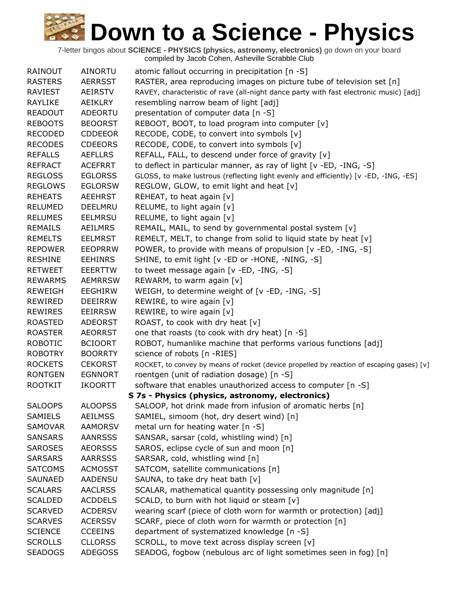| <b>RAINOUT</b> | <b>AINORTU</b> | atomic fallout occurring in precipitation [n -S]                                          |
|----------------|----------------|-------------------------------------------------------------------------------------------|
| <b>RASTERS</b> | <b>AERRSST</b> | RASTER, area reproducing images on picture tube of television set [n]                     |
| RAVIEST        | AEIRSTV        | RAVEY, characteristic of rave (all-night dance party with fast electronic music) [adj]    |
| <b>RAYLIKE</b> | AEIKLRY        | resembling narrow beam of light [adj]                                                     |
| <b>READOUT</b> | <b>ADEORTU</b> | presentation of computer data [n -S]                                                      |
| <b>REBOOTS</b> | <b>BEOORST</b> | REBOOT, BOOT, to load program into computer [v]                                           |
| <b>RECODED</b> | <b>CDDEEOR</b> | RECODE, CODE, to convert into symbols [v]                                                 |
| <b>RECODES</b> | <b>CDEEORS</b> | RECODE, CODE, to convert into symbols [v]                                                 |
| <b>REFALLS</b> | <b>AEFLLRS</b> | REFALL, FALL, to descend under force of gravity [v]                                       |
| <b>REFRACT</b> | <b>ACEFRRT</b> | to deflect in particular manner, as ray of light [v -ED, -ING, -S]                        |
| <b>REGLOSS</b> | <b>EGLORSS</b> | GLOSS, to make lustrous (reflecting light evenly and efficiently) [v -ED, -ING, -ES]      |
| <b>REGLOWS</b> | <b>EGLORSW</b> | REGLOW, GLOW, to emit light and heat [v]                                                  |
| <b>REHEATS</b> | <b>AEEHRST</b> | REHEAT, to heat again [v]                                                                 |
| <b>RELUMED</b> | DEELMRU        | RELUME, to light again [v]                                                                |
| <b>RELUMES</b> | <b>EELMRSU</b> | RELUME, to light again [v]                                                                |
| <b>REMAILS</b> | AEILMRS        | REMAIL, MAIL, to send by governmental postal system [v]                                   |
| <b>REMELTS</b> | <b>EELMRST</b> | REMELT, MELT, to change from solid to liquid state by heat [v]                            |
| <b>REPOWER</b> | <b>EEOPRRW</b> | POWER, to provide with means of propulsion [v -ED, -ING, -S]                              |
| <b>RESHINE</b> | <b>EEHINRS</b> | SHINE, to emit light [v -ED or -HONE, -NING, -S]                                          |
| <b>RETWEET</b> | <b>EEERTTW</b> | to tweet message again [v -ED, -ING, -S]                                                  |
| <b>REWARMS</b> | <b>AEMRRSW</b> | REWARM, to warm again [v]                                                                 |
| <b>REWEIGH</b> | <b>EEGHIRW</b> | WEIGH, to determine weight of [v -ED, -ING, -S]                                           |
| <b>REWIRED</b> | <b>DEEIRRW</b> | REWIRE, to wire again [v]                                                                 |
| <b>REWIRES</b> | <b>EEIRRSW</b> | REWIRE, to wire again [v]                                                                 |
| <b>ROASTED</b> | <b>ADEORST</b> | ROAST, to cook with dry heat [v]                                                          |
| <b>ROASTER</b> | <b>AEORRST</b> | one that roasts (to cook with dry heat) [n -S]                                            |
| <b>ROBOTIC</b> | <b>BCIOORT</b> | ROBOT, humanlike machine that performs various functions [adj]                            |
| <b>ROBOTRY</b> | <b>BOORRTY</b> | science of robots [n -RIES]                                                               |
| <b>ROCKETS</b> | <b>CEKORST</b> | ROCKET, to convey by means of rocket (device propelled by reaction of escaping gases) [v] |
| <b>RONTGEN</b> | <b>EGNNORT</b> | roentgen (unit of radiation dosage) [n -S]                                                |
| <b>ROOTKIT</b> | <b>IKOORTT</b> | software that enables unauthorized access to computer [n -S]                              |
|                |                | S 7s - Physics (physics, astronomy, electronics)                                          |
| <b>SALOOPS</b> | <b>ALOOPSS</b> | SALOOP, hot drink made from infusion of aromatic herbs [n]                                |
| <b>SAMIELS</b> | <b>AEILMSS</b> | SAMIEL, simoom (hot, dry desert wind) [n]                                                 |
| SAMOVAR        | <b>AAMORSV</b> | metal urn for heating water $[n - S]$                                                     |
| <b>SANSARS</b> | <b>AANRSSS</b> | SANSAR, sarsar (cold, whistling wind) [n]                                                 |
| <b>SAROSES</b> | <b>AEORSSS</b> | SAROS, eclipse cycle of sun and moon [n]                                                  |
| <b>SARSARS</b> | <b>AARRSSS</b> | SARSAR, cold, whistling wind [n]                                                          |
| <b>SATCOMS</b> | <b>ACMOSST</b> | SATCOM, satellite communications [n]                                                      |
| <b>SAUNAED</b> | AADENSU        | SAUNA, to take dry heat bath [v]                                                          |
| <b>SCALARS</b> | <b>AACLRSS</b> | SCALAR, mathematical quantity possessing only magnitude [n]                               |
| <b>SCALDED</b> | <b>ACDDELS</b> | SCALD, to burn with hot liquid or steam [v]                                               |
| <b>SCARVED</b> | <b>ACDERSV</b> | wearing scarf (piece of cloth worn for warmth or protection) [adj]                        |
| <b>SCARVES</b> | <b>ACERSSV</b> | SCARF, piece of cloth worn for warmth or protection [n]                                   |
| <b>SCIENCE</b> | <b>CCEEINS</b> | department of systematized knowledge [n -S]                                               |
| <b>SCROLLS</b> | <b>CLLORSS</b> | SCROLL, to move text across display screen [v]                                            |
| <b>SEADOGS</b> | <b>ADEGOSS</b> | SEADOG, fogbow (nebulous arc of light sometimes seen in fog) [n]                          |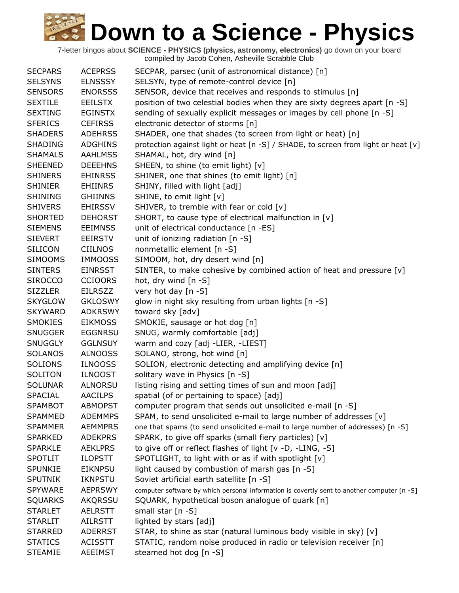| <b>SECPARS</b> | <b>ACEPRSS</b> | SECPAR, parsec (unit of astronomical distance) [n]                                          |
|----------------|----------------|---------------------------------------------------------------------------------------------|
| <b>SELSYNS</b> | <b>ELNSSSY</b> | SELSYN, type of remote-control device [n]                                                   |
| <b>SENSORS</b> | <b>ENORSSS</b> | SENSOR, device that receives and responds to stimulus [n]                                   |
| <b>SEXTILE</b> | <b>EEILSTX</b> | position of two celestial bodies when they are sixty degrees apart [n -S]                   |
| <b>SEXTING</b> | <b>EGINSTX</b> | sending of sexually explicit messages or images by cell phone [n -S]                        |
| <b>SFERICS</b> | <b>CEFIRSS</b> | electronic detector of storms [n]                                                           |
| <b>SHADERS</b> | <b>ADEHRSS</b> | SHADER, one that shades (to screen from light or heat) [n]                                  |
| <b>SHADING</b> | <b>ADGHINS</b> | protection against light or heat [n -S] / SHADE, to screen from light or heat [v]           |
| <b>SHAMALS</b> | <b>AAHLMSS</b> | SHAMAL, hot, dry wind [n]                                                                   |
| <b>SHEENED</b> | <b>DEEEHNS</b> | SHEEN, to shine (to emit light) [v]                                                         |
| <b>SHINERS</b> | <b>EHINRSS</b> | SHINER, one that shines (to emit light) [n]                                                 |
| <b>SHINIER</b> | <b>EHIINRS</b> | SHINY, filled with light [adj]                                                              |
| <b>SHINING</b> | <b>GHIINNS</b> | SHINE, to emit light [v]                                                                    |
| <b>SHIVERS</b> | <b>EHIRSSV</b> | SHIVER, to tremble with fear or cold [v]                                                    |
| <b>SHORTED</b> | <b>DEHORST</b> | SHORT, to cause type of electrical malfunction in [v]                                       |
| <b>SIEMENS</b> | <b>EEIMNSS</b> | unit of electrical conductance [n -ES]                                                      |
| <b>SIEVERT</b> | <b>EEIRSTV</b> | unit of ionizing radiation [n -S]                                                           |
| <b>SILICON</b> | <b>CIILNOS</b> | nonmetallic element [n -S]                                                                  |
| <b>SIMOOMS</b> | <b>IMMOOSS</b> | SIMOOM, hot, dry desert wind [n]                                                            |
| <b>SINTERS</b> | <b>EINRSST</b> | SINTER, to make cohesive by combined action of heat and pressure [v]                        |
| <b>SIROCCO</b> | <b>CCIOORS</b> | hot, dry wind [n -S]                                                                        |
| <b>SIZZLER</b> | <b>EILRSZZ</b> | very hot day [n -S]                                                                         |
| <b>SKYGLOW</b> | <b>GKLOSWY</b> | glow in night sky resulting from urban lights [n -S]                                        |
| <b>SKYWARD</b> | <b>ADKRSWY</b> | toward sky [adv]                                                                            |
| <b>SMOKIES</b> | <b>EIKMOSS</b> | SMOKIE, sausage or hot dog [n]                                                              |
| <b>SNUGGER</b> | <b>EGGNRSU</b> | SNUG, warmly comfortable [adj]                                                              |
| <b>SNUGGLY</b> | <b>GGLNSUY</b> | warm and cozy [adj -LIER, -LIEST]                                                           |
| <b>SOLANOS</b> | <b>ALNOOSS</b> | SOLANO, strong, hot wind [n]                                                                |
| <b>SOLIONS</b> | <b>ILNOOSS</b> | SOLION, electronic detecting and amplifying device [n]                                      |
| <b>SOLITON</b> | <b>ILNOOST</b> | solitary wave in Physics [n -S]                                                             |
| <b>SOLUNAR</b> | <b>ALNORSU</b> | listing rising and setting times of sun and moon [adj]                                      |
| <b>SPACIAL</b> | <b>AACILPS</b> | spatial (of or pertaining to space) [adj]                                                   |
| <b>SPAMBOT</b> | <b>ABMOPST</b> | computer program that sends out unsolicited e-mail [n -S]                                   |
| <b>SPAMMED</b> | <b>ADEMMPS</b> | SPAM, to send unsolicited e-mail to large number of addresses [v]                           |
| <b>SPAMMER</b> | <b>AEMMPRS</b> | one that spams (to send unsolicited e-mail to large number of addresses) [n -S]             |
| <b>SPARKED</b> | <b>ADEKPRS</b> | SPARK, to give off sparks (small fiery particles) [v]                                       |
| <b>SPARKLE</b> | <b>AEKLPRS</b> | to give off or reflect flashes of light [v -D, -LING, -S]                                   |
| <b>SPOTLIT</b> | <b>ILOPSTT</b> | SPOTLIGHT, to light with or as if with spotlight [v]                                        |
| <b>SPUNKIE</b> | <b>EIKNPSU</b> | light caused by combustion of marsh gas [n -S]                                              |
| <b>SPUTNIK</b> | <b>IKNPSTU</b> | Soviet artificial earth satellite [n -S]                                                    |
| <b>SPYWARE</b> | <b>AEPRSWY</b> | computer software by which personal information is covertly sent to another computer [n -S] |
| <b>SQUARKS</b> | <b>AKQRSSU</b> | SQUARK, hypothetical boson analogue of quark [n]                                            |
| <b>STARLET</b> | <b>AELRSTT</b> | small star $[n -S]$                                                                         |
| <b>STARLIT</b> | AILRSTT        | lighted by stars [adj]                                                                      |
| <b>STARRED</b> | <b>ADERRST</b> | STAR, to shine as star (natural luminous body visible in sky) [v]                           |
| <b>STATICS</b> | <b>ACISSTT</b> | STATIC, random noise produced in radio or television receiver [n]                           |
| <b>STEAMIE</b> | <b>AEEIMST</b> | steamed hot dog [n -S]                                                                      |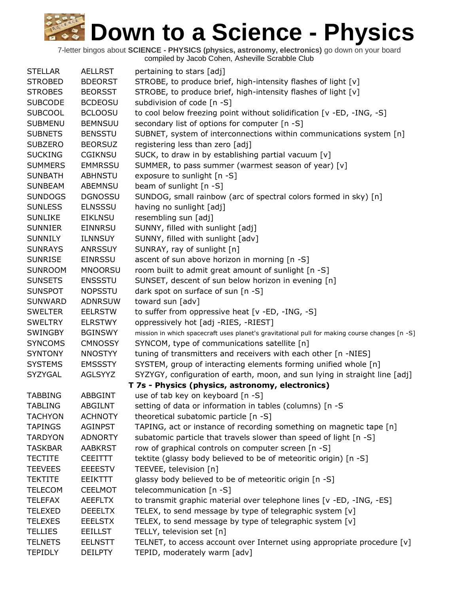| <b>STELLAR</b> | <b>AELLRST</b> | pertaining to stars [adj]                                                                     |
|----------------|----------------|-----------------------------------------------------------------------------------------------|
| <b>STROBED</b> | <b>BDEORST</b> | STROBE, to produce brief, high-intensity flashes of light [v]                                 |
| <b>STROBES</b> | <b>BEORSST</b> | STROBE, to produce brief, high-intensity flashes of light [v]                                 |
| <b>SUBCODE</b> | <b>BCDEOSU</b> | subdivision of code [n -S]                                                                    |
| <b>SUBCOOL</b> | <b>BCLOOSU</b> | to cool below freezing point without solidification [v -ED, -ING, -S]                         |
| <b>SUBMENU</b> | <b>BEMNSUU</b> | secondary list of options for computer [n -S]                                                 |
| <b>SUBNETS</b> | <b>BENSSTU</b> | SUBNET, system of interconnections within communications system [n]                           |
| <b>SUBZERO</b> | <b>BEORSUZ</b> | registering less than zero [adj]                                                              |
| <b>SUCKING</b> | <b>CGIKNSU</b> | SUCK, to draw in by establishing partial vacuum [v]                                           |
| <b>SUMMERS</b> | <b>EMMRSSU</b> | SUMMER, to pass summer (warmest season of year) [v]                                           |
| <b>SUNBATH</b> | <b>ABHNSTU</b> | exposure to sunlight [n -S]                                                                   |
| <b>SUNBEAM</b> | ABEMNSU        | beam of sunlight [n -S]                                                                       |
| <b>SUNDOGS</b> | <b>DGNOSSU</b> | SUNDOG, small rainbow (arc of spectral colors formed in sky) [n]                              |
| <b>SUNLESS</b> | <b>ELNSSSU</b> | having no sunlight [adj]                                                                      |
| <b>SUNLIKE</b> | <b>EIKLNSU</b> | resembling sun [adj]                                                                          |
| <b>SUNNIER</b> | <b>EINNRSU</b> | SUNNY, filled with sunlight [adj]                                                             |
| <b>SUNNILY</b> | <b>ILNNSUY</b> | SUNNY, filled with sunlight [adv]                                                             |
| <b>SUNRAYS</b> | <b>ANRSSUY</b> | SUNRAY, ray of sunlight [n]                                                                   |
| <b>SUNRISE</b> | <b>EINRSSU</b> | ascent of sun above horizon in morning [n -S]                                                 |
| <b>SUNROOM</b> | <b>MNOORSU</b> | room built to admit great amount of sunlight [n -S]                                           |
| <b>SUNSETS</b> | <b>ENSSSTU</b> | SUNSET, descent of sun below horizon in evening [n]                                           |
| <b>SUNSPOT</b> | <b>NOPSSTU</b> | dark spot on surface of sun [n -S]                                                            |
| <b>SUNWARD</b> | <b>ADNRSUW</b> | toward sun [adv]                                                                              |
| <b>SWELTER</b> | <b>EELRSTW</b> | to suffer from oppressive heat [v -ED, -ING, -S]                                              |
| <b>SWELTRY</b> | <b>ELRSTWY</b> | oppressively hot [adj -RIES, -RIEST]                                                          |
| <b>SWINGBY</b> | <b>BGINSWY</b> | mission in which spacecraft uses planet's gravitational pull for making course changes [n -S] |
| <b>SYNCOMS</b> | <b>CMNOSSY</b> | SYNCOM, type of communications satellite [n]                                                  |
| <b>SYNTONY</b> | <b>NNOSTYY</b> | tuning of transmitters and receivers with each other [n -NIES]                                |
| <b>SYSTEMS</b> | <b>EMSSSTY</b> | SYSTEM, group of interacting elements forming unified whole [n]                               |
| SYZYGAL        | AGLSYYZ        | SYZYGY, configuration of earth, moon, and sun lying in straight line [adj]                    |
|                |                | T 7s - Physics (physics, astronomy, electronics)                                              |
| <b>TABBING</b> | <b>ABBGINT</b> | use of tab key on keyboard [n -S]                                                             |
| <b>TABLING</b> | <b>ABGILNT</b> | setting of data or information in tables (columns) [n -S                                      |
| <b>TACHYON</b> | <b>ACHNOTY</b> | theoretical subatomic particle [n -S]                                                         |
| <b>TAPINGS</b> | <b>AGINPST</b> | TAPING, act or instance of recording something on magnetic tape [n]                           |
| <b>TARDYON</b> | <b>ADNORTY</b> | subatomic particle that travels slower than speed of light [n -S]                             |
| <b>TASKBAR</b> | <b>AABKRST</b> | row of graphical controls on computer screen [n -S]                                           |
| <b>TECTITE</b> | <b>CEEITTT</b> | tektite (glassy body believed to be of meteoritic origin) [n -S]                              |
| <b>TEEVEES</b> | <b>EEEESTV</b> | TEEVEE, television [n]                                                                        |
| <b>TEKTITE</b> | EEIKTTT        | glassy body believed to be of meteoritic origin [n -S]                                        |
| <b>TELECOM</b> | <b>CEELMOT</b> | telecommunication $[n - S]$                                                                   |
| <b>TELEFAX</b> | <b>AEEFLTX</b> | to transmit graphic material over telephone lines [v -ED, -ING, -ES]                          |
| <b>TELEXED</b> | <b>DEEELTX</b> | TELEX, to send message by type of telegraphic system [v]                                      |
| <b>TELEXES</b> | <b>EEELSTX</b> | TELEX, to send message by type of telegraphic system [v]                                      |
| <b>TELLIES</b> | <b>EEILLST</b> | TELLY, television set [n]                                                                     |
| <b>TELNETS</b> | <b>EELNSTT</b> | TELNET, to access account over Internet using appropriate procedure [v]                       |
| <b>TEPIDLY</b> | <b>DEILPTY</b> | TEPID, moderately warm [adv]                                                                  |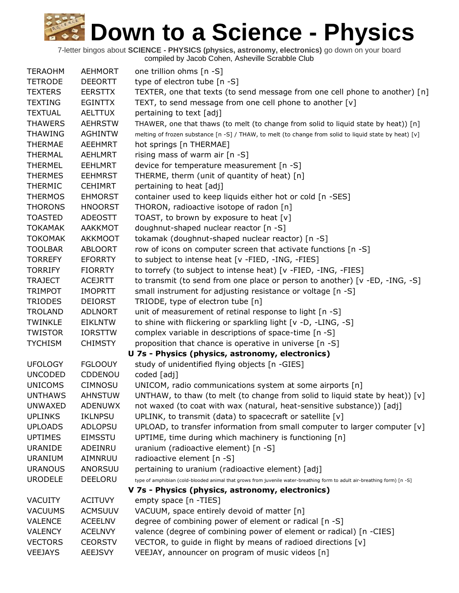| <b>TERAOHM</b> | <b>AEHMORT</b> | one trillion ohms [n -S]                                                                                                 |
|----------------|----------------|--------------------------------------------------------------------------------------------------------------------------|
| <b>TETRODE</b> | <b>DEEORTT</b> | type of electron tube [n -S]                                                                                             |
| <b>TEXTERS</b> | <b>EERSTTX</b> | TEXTER, one that texts (to send message from one cell phone to another) [n]                                              |
| <b>TEXTING</b> | <b>EGINTTX</b> | TEXT, to send message from one cell phone to another [v]                                                                 |
| <b>TEXTUAL</b> | <b>AELTTUX</b> | pertaining to text [adj]                                                                                                 |
| <b>THAWERS</b> | <b>AEHRSTW</b> | THAWER, one that thaws (to melt (to change from solid to liquid state by heat)) [n]                                      |
| <b>THAWING</b> | <b>AGHINTW</b> | melting of frozen substance [n -S] / THAW, to melt (to change from solid to liquid state by heat) [v]                    |
| <b>THERMAE</b> | <b>AEEHMRT</b> | hot springs [n THERMAE]                                                                                                  |
| <b>THERMAL</b> | <b>AEHLMRT</b> | rising mass of warm air [n -S]                                                                                           |
| <b>THERMEL</b> | <b>EEHLMRT</b> | device for temperature measurement [n -S]                                                                                |
|                |                |                                                                                                                          |
| <b>THERMES</b> | <b>EEHMRST</b> | THERME, therm (unit of quantity of heat) [n]                                                                             |
| <b>THERMIC</b> | <b>CEHIMRT</b> | pertaining to heat [adj]                                                                                                 |
| <b>THERMOS</b> | <b>EHMORST</b> | container used to keep liquids either hot or cold [n -SES]                                                               |
| <b>THORONS</b> | <b>HNOORST</b> | THORON, radioactive isotope of radon [n]                                                                                 |
| <b>TOASTED</b> | <b>ADEOSTT</b> | TOAST, to brown by exposure to heat [v]                                                                                  |
| <b>TOKAMAK</b> | <b>AAKKMOT</b> | doughnut-shaped nuclear reactor [n -S]                                                                                   |
| <b>TOKOMAK</b> | <b>AKKMOOT</b> | tokamak (doughnut-shaped nuclear reactor) [n -S]                                                                         |
| <b>TOOLBAR</b> | <b>ABLOORT</b> | row of icons on computer screen that activate functions [n -S]                                                           |
| <b>TORREFY</b> | <b>EFORRTY</b> | to subject to intense heat [v -FIED, -ING, -FIES]                                                                        |
| <b>TORRIFY</b> | <b>FIORRTY</b> | to torrefy (to subject to intense heat) [v -FIED, -ING, -FIES]                                                           |
| <b>TRAJECT</b> | <b>ACEJRTT</b> | to transmit (to send from one place or person to another) [v -ED, -ING, -S]                                              |
| <b>TRIMPOT</b> | <b>IMOPRTT</b> | small instrument for adjusting resistance or voltage [n -S]                                                              |
| <b>TRIODES</b> | <b>DEIORST</b> | TRIODE, type of electron tube [n]                                                                                        |
| <b>TROLAND</b> | <b>ADLNORT</b> | unit of measurement of retinal response to light [n -S]                                                                  |
| <b>TWINKLE</b> | <b>EIKLNTW</b> | to shine with flickering or sparkling light [v -D, -LING, -S]                                                            |
| <b>TWISTOR</b> | <b>IORSTTW</b> | complex variable in descriptions of space-time [n -S]                                                                    |
| <b>TYCHISM</b> | <b>CHIMSTY</b> | proposition that chance is operative in universe [n -S]                                                                  |
|                |                | U 7s - Physics (physics, astronomy, electronics)                                                                         |
| <b>UFOLOGY</b> | <b>FGLOOUY</b> | study of unidentified flying objects [n -GIES]                                                                           |
| <b>UNCODED</b> | CDDENOU        | coded [adj]                                                                                                              |
| <b>UNICOMS</b> | <b>CIMNOSU</b> | UNICOM, radio communications system at some airports [n]                                                                 |
| <b>UNTHAWS</b> | AHNSTUW        | UNTHAW, to thaw (to melt (to change from solid to liquid state by heat)) $[v]$                                           |
| <b>UNWAXED</b> | <b>ADENUWX</b> | not waxed (to coat with wax (natural, heat-sensitive substance)) [adj]                                                   |
| <b>UPLINKS</b> | IKLNPSU        | UPLINK, to transmit (data) to spacecraft or satellite $[v]$                                                              |
| <b>UPLOADS</b> | <b>ADLOPSU</b> | UPLOAD, to transfer information from small computer to larger computer $[v]$                                             |
| <b>UPTIMES</b> | <b>EIMSSTU</b> | UPTIME, time during which machinery is functioning [n]                                                                   |
| <b>URANIDE</b> | ADEINRU        | uranium (radioactive element) [n -S]                                                                                     |
| <b>URANIUM</b> | AIMNRUU        | radioactive element [n -S]                                                                                               |
|                |                |                                                                                                                          |
| <b>URANOUS</b> | ANORSUU        | pertaining to uranium (radioactive element) [adj]                                                                        |
| <b>URODELE</b> | DEELORU        | type of amphibian (cold-blooded animal that grows from juvenile water-breathing form to adult air-breathing form) [n -S] |
|                |                | V 7s - Physics (physics, astronomy, electronics)                                                                         |
| <b>VACUITY</b> | <b>ACITUVY</b> | empty space [n -TIES]                                                                                                    |
| <b>VACUUMS</b> | <b>ACMSUUV</b> | VACUUM, space entirely devoid of matter [n]                                                                              |
| <b>VALENCE</b> | <b>ACEELNV</b> | degree of combining power of element or radical [n -S]                                                                   |
| <b>VALENCY</b> | <b>ACELNVY</b> | valence (degree of combining power of element or radical) [n -CIES]                                                      |
| <b>VECTORS</b> | <b>CEORSTV</b> | VECTOR, to guide in flight by means of radioed directions [v]                                                            |
| <b>VEEJAYS</b> | <b>AEEJSVY</b> | VEEJAY, announcer on program of music videos [n]                                                                         |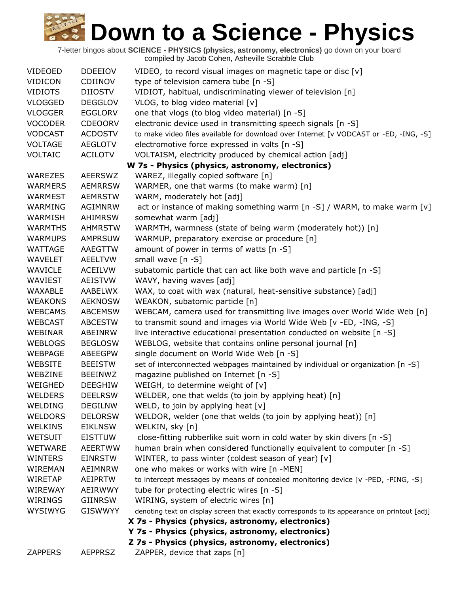| <b>VIDEOED</b>                                   | <b>DDEEIOV</b> | VIDEO, to record visual images on magnetic tape or disc [v]                                  |  |  |  |
|--------------------------------------------------|----------------|----------------------------------------------------------------------------------------------|--|--|--|
| <b>VIDICON</b>                                   | <b>CDIINOV</b> | type of television camera tube [n -S]                                                        |  |  |  |
| <b>VIDIOTS</b>                                   | DIIOSTV        | VIDIOT, habitual, undiscriminating viewer of television [n]                                  |  |  |  |
| <b>VLOGGED</b>                                   | <b>DEGGLOV</b> | VLOG, to blog video material [v]                                                             |  |  |  |
| <b>VLOGGER</b>                                   | <b>EGGLORV</b> | one that vlogs (to blog video material) [n -S]                                               |  |  |  |
| <b>VOCODER</b>                                   | <b>CDEOORV</b> | electronic device used in transmitting speech signals [n -S]                                 |  |  |  |
| <b>VODCAST</b>                                   | <b>ACDOSTV</b> | to make video files available for download over Internet [v VODCAST or -ED, -ING, -S]        |  |  |  |
| <b>VOLTAGE</b>                                   | <b>AEGLOTV</b> | electromotive force expressed in volts [n -S]                                                |  |  |  |
| <b>VOLTAIC</b>                                   | <b>ACILOTV</b> | VOLTAISM, electricity produced by chemical action [adj]                                      |  |  |  |
| W 7s - Physics (physics, astronomy, electronics) |                |                                                                                              |  |  |  |
| <b>WAREZES</b>                                   | <b>AEERSWZ</b> | WAREZ, illegally copied software [n]                                                         |  |  |  |
| <b>WARMERS</b>                                   | <b>AEMRRSW</b> | WARMER, one that warms (to make warm) [n]                                                    |  |  |  |
| <b>WARMEST</b>                                   | <b>AEMRSTW</b> | WARM, moderately hot [adj]                                                                   |  |  |  |
| WARMING                                          | AGIMNRW        | act or instance of making something warm [n -S] / WARM, to make warm [v]                     |  |  |  |
| <b>WARMISH</b>                                   | AHIMRSW        | somewhat warm [adj]                                                                          |  |  |  |
| <b>WARMTHS</b>                                   | <b>AHMRSTW</b> | WARMTH, warmness (state of being warm (moderately hot)) [n]                                  |  |  |  |
| <b>WARMUPS</b>                                   | <b>AMPRSUW</b> | WARMUP, preparatory exercise or procedure [n]                                                |  |  |  |
| <b>WATTAGE</b>                                   | AAEGTTW        | amount of power in terms of watts [n -S]                                                     |  |  |  |
| WAVELET                                          | <b>AEELTVW</b> | small wave [n -S]                                                                            |  |  |  |
| <b>WAVICLE</b>                                   | <b>ACEILVW</b> | subatomic particle that can act like both wave and particle [n -S]                           |  |  |  |
| WAVIEST                                          | <b>AEISTVW</b> | WAVY, having waves [adj]                                                                     |  |  |  |
| WAXABLE                                          | AABELWX        | WAX, to coat with wax (natural, heat-sensitive substance) [adj]                              |  |  |  |
| <b>WEAKONS</b>                                   | <b>AEKNOSW</b> | WEAKON, subatomic particle [n]                                                               |  |  |  |
| <b>WEBCAMS</b>                                   | <b>ABCEMSW</b> | WEBCAM, camera used for transmitting live images over World Wide Web [n]                     |  |  |  |
| <b>WEBCAST</b>                                   | <b>ABCESTW</b> | to transmit sound and images via World Wide Web [v -ED, -ING, -S]                            |  |  |  |
| WEBINAR                                          | ABEINRW        | live interactive educational presentation conducted on website [n -S]                        |  |  |  |
| <b>WEBLOGS</b>                                   | <b>BEGLOSW</b> | WEBLOG, website that contains online personal journal [n]                                    |  |  |  |
| <b>WEBPAGE</b>                                   | <b>ABEEGPW</b> | single document on World Wide Web [n -S]                                                     |  |  |  |
| <b>WEBSITE</b>                                   | <b>BEEISTW</b> | set of interconnected webpages maintained by individual or organization [n -S]               |  |  |  |
| WEBZINE                                          | <b>BEEINWZ</b> | magazine published on Internet [n -S]                                                        |  |  |  |
| WEIGHED                                          | <b>DEEGHIW</b> | WEIGH, to determine weight of [v]                                                            |  |  |  |
| <b>WELDERS</b>                                   | <b>DEELRSW</b> | WELDER, one that welds (to join by applying heat) [n]                                        |  |  |  |
| WELDING                                          | <b>DEGILNW</b> | WELD, to join by applying heat $[v]$                                                         |  |  |  |
| <b>WELDORS</b>                                   | <b>DELORSW</b> | WELDOR, welder (one that welds (to join by applying heat)) [n]                               |  |  |  |
| <b>WELKINS</b>                                   | <b>EIKLNSW</b> | WELKIN, sky [n]                                                                              |  |  |  |
| <b>WETSUIT</b>                                   | <b>EISTTUW</b> | close-fitting rubberlike suit worn in cold water by skin divers [n -S]                       |  |  |  |
| <b>WETWARE</b>                                   | <b>AEERTWW</b> | human brain when considered functionally equivalent to computer [n -S]                       |  |  |  |
| <b>WINTERS</b>                                   | <b>EINRSTW</b> | WINTER, to pass winter (coldest season of year) [v]                                          |  |  |  |
| WIREMAN                                          | <b>AEIMNRW</b> | one who makes or works with wire [n -MEN]                                                    |  |  |  |
| <b>WIRETAP</b>                                   | AEIPRTW        | to intercept messages by means of concealed monitoring device [v -PED, -PING, -S]            |  |  |  |
| WIREWAY                                          | AEIRWWY        | tube for protecting electric wires [n -S]                                                    |  |  |  |
| WIRINGS                                          | <b>GIINRSW</b> | WIRING, system of electric wires [n]                                                         |  |  |  |
| <b>WYSIWYG</b>                                   | <b>GISWWYY</b> | denoting text on display screen that exactly corresponds to its appearance on printout [adj] |  |  |  |
|                                                  |                | X 7s - Physics (physics, astronomy, electronics)                                             |  |  |  |
|                                                  |                | Y 7s - Physics (physics, astronomy, electronics)                                             |  |  |  |
|                                                  |                | Z 7s - Physics (physics, astronomy, electronics)                                             |  |  |  |
| <b>ZAPPERS</b>                                   | <b>AEPPRSZ</b> | ZAPPER, device that zaps [n]                                                                 |  |  |  |